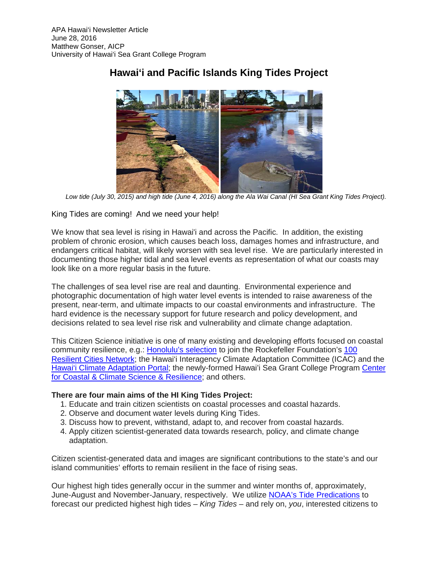

## **Hawai'i and Pacific Islands King Tides Project**

*Low tide (July 30, 2015) and high tide (June 4, 2016) along the Ala Wai Canal (HI Sea Grant King Tides Project).*

### King Tides are coming! And we need your help!

We know that sea level is rising in Hawai'i and across the Pacific. In addition, the existing problem of chronic erosion, which causes beach loss, damages homes and infrastructure, and endangers critical habitat, will likely worsen with sea level rise. We are particularly interested in documenting those higher tidal and sea level events as representation of what our coasts may look like on a more regular basis in the future.

The challenges of sea level rise are real and daunting. Environmental experience and photographic documentation of high water level events is intended to raise awareness of the present, near-term, and ultimate impacts to our coastal environments and infrastructure. The hard evidence is the necessary support for future research and policy development, and decisions related to sea level rise risk and vulnerability and climate change adaptation.

This Citizen Science initiative is one of many existing and developing efforts focused on coastal community resilience, e.g.: [Honolulu's](http://www.100resilientcities.org/cities/entry/honolulus-resilience-challenge#/-_Yz45MDE3NCdpPTEocz5j/) selection to join the Rockefeller Foundation's [100](http://www.100resilientcities.org/blog/entry/100-resilient-cities-and-the-rockefeller-foundation-announce-37-new-member#/-_Yz45MDE3NCdpPTEocz5j/)  [Resilient Cities Network;](http://www.100resilientcities.org/blog/entry/100-resilient-cities-and-the-rockefeller-foundation-announce-37-new-member#/-_Yz45MDE3NCdpPTEocz5j/) the Hawai'i Interagency Climate Adaptation Committee (ICAC) and the Hawai'i [Climate Adaptation Portal;](http://climateadaptation.hawaii.gov/) the newly-formed Hawai'i Sea Grant College Program Center [for Coastal & Climate Science & Resilience;](http://ccsr.seagrant.soest.hawaii.edu/) and others.

#### **There are four main aims of the HI King Tides Project:**

- 1. Educate and train citizen scientists on coastal processes and coastal hazards.
- 2. Observe and document water levels during King Tides.
- 3. Discuss how to prevent, withstand, adapt to, and recover from coastal hazards.
- 4. Apply citizen scientist-generated data towards research, policy, and climate change adaptation.

Citizen scientist-generated data and images are significant contributions to the state's and our island communities' efforts to remain resilient in the face of rising seas.

Our highest high tides generally occur in the summer and winter months of, approximately, June-August and November-January, respectively. We utilize [NOAA's Tide Predications](https://tidesandcurrents.noaa.gov/tide_predictions.html) to forecast our predicted highest high tides – *King Tides* – and rely on, *you*, interested citizens to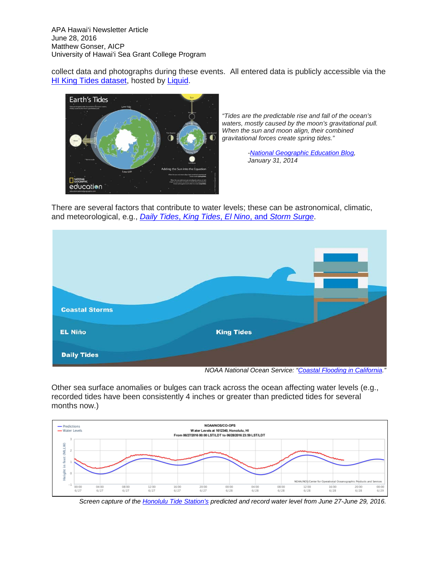APA Hawai'i Newsletter Article June 28, 2016 Matthew Gonser, AICP University of Hawai'i Sea Grant College Program

collect data and photographs during these events. All entered data is publicly accessible via the [HI King Tides dataset,](https://getliquid.io/data/d/iKqdTenhq6tgzQpa3/records) hosted by [Liquid.](https://getliquid.io/home)



*"Tides are the predictable rise and fall of the ocean's waters, mostly caused by the moon's gravitational pull. When the sun and moon align, their combined gravitational forces create spring tides."*

> *[-National Geographic Education Blog,](https://blog.education.nationalgeographic.com/2014/01/31/king-tides-rule-coasts/) January 31, 2014*

There are several factors that contribute to water levels; these can be astronomical, climatic, and meteorological, e.g., *Daily Tides*, *King Tides*, *El Nino*, and *[Storm Surge](http://oceanservice.noaa.gov/news/dec15/california-flooding.html)*.



Other sea surface anomalies or bulges can track across the ocean affecting water levels (e.g., recorded tides have been consistently 4 inches or greater than predicted tides for several months now.)



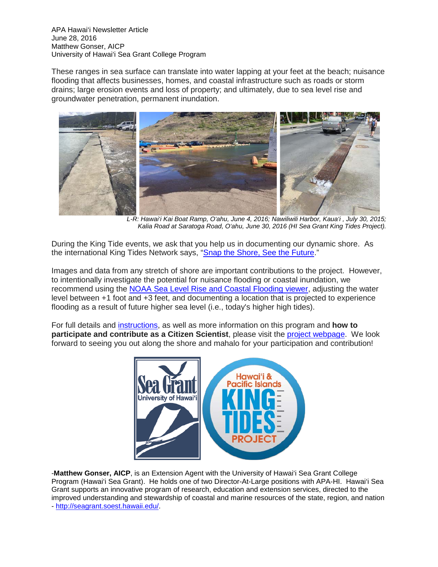APA Hawai'i Newsletter Article June 28, 2016 Matthew Gonser, AICP University of Hawai'i Sea Grant College Program

These ranges in sea surface can translate into water lapping at your feet at the beach; nuisance flooding that affects businesses, homes, and coastal infrastructure such as roads or storm drains; large erosion events and loss of property; and ultimately, due to sea level rise and groundwater penetration, permanent inundation.



*L-R: Hawai'i Kai Boat Ramp, O'ahu, June 4, 2016; Nawiliwili Harbor, Kaua'i , July 30, 2015; Kalia Road at Saratoga Road, O'ahu, June 30, 2016 (HI Sea Grant King Tides Project).*

During the King Tide events, we ask that you help us in documenting our dynamic shore. As the international King Tides Network says, ["Snap the Shore, See the Future.](http://kingtides.net/)"

Images and data from any stretch of shore are important contributions to the project. However, to intentionally investigate the potential for nuisance flooding or coastal inundation, we recommend using the [NOAA Sea Level Rise and Coastal Flooding](https://coast.noaa.gov/slr/) viewer, adjusting the water level between +1 foot and +3 feet, and documenting a location that is projected to experience flooding as a result of future higher sea level (i.e., today's higher high tides).

For full details and [instructions,](http://ccsr.seagrant.soest.hawaii.edu/sites/default/files/content/main/ccsr/hi_kingtides-photosurveyinstructions-2016.june_.pdf) as well as more information on this program and **how to participate and contribute as a Citizen Scientist**, please visit the [project webpage.](http://ccsr.seagrant.soest.hawaii.edu/hawai%E2%80%98i-and-pacific-islands-king-tides-project) We look forward to seeing you out along the shore and mahalo for your participation and contribution!



-**Matthew Gonser, AICP**, is an Extension Agent with the University of Hawai'i Sea Grant College Program (Hawai'i Sea Grant). He holds one of two Director-At-Large positions with APA-HI. Hawai'i Sea Grant supports an innovative program of research, education and extension services, directed to the improved understanding and stewardship of coastal and marine resources of the state, region, and nation - [http://seagrant.soest.hawaii.edu/.](http://seagrant.soest.hawaii.edu/)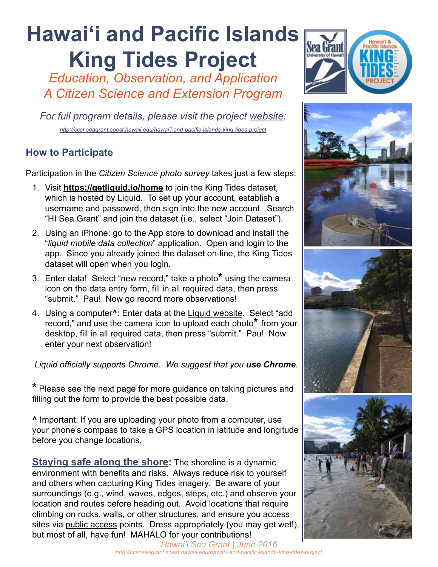# **Hawai'i and Pacific Islands King Tides Project**

*Education, Observation, and Application A Citizen Science and Extension Program*

*For full program details, please visit the project [website:](http://ccsr.seagrant.soest.hawaii.edu/hawai%E2%80%98i-and-pacific-islands-king-tides-project) http://ccsr.seagrant.soest.hawaii.edu/hawai'i-and-pacific-islands-king-tides-project*

## **How to Participate**

Participation in the *Citizen Science photo survey* takes just a few steps:

- 1. Visit **https://getliquid.io/home** to join the King Tides dataset, which is hosted by Liquid. To set up your account, establish a username and passowrd, then sign into the new account. Search "HI Sea Grant" and join the dataset (i.e., select "Join Dataset").
- 2. Using an iPhone: go to the App store to download and install the "*liquid mobile data collection*" application. Open and login to the app. Since you already joined the dataset on-line, the King Tides dataset will open when you login.
- 3. Enter data! Select "new record," take a photo**\*** using the camera icon on the data entry form, fill in all required data, then press "submit." Pau! Now go record more observations!
- 4. Using a computer**^**: Enter data at the [Liquid website.](https://getliquid.io/home) Select "add record," and use the camera icon to upload each photo**\*** from your desktop, fill in all required data, then press "submit." Pau! Now enter your next observation!

*Liquid officially supports Chrome. We suggest that you use Chrome.* 

**\*** Please see the next page for more guidance on taking pictures and filling out the form to provide the best possible data.

**^** Important: If you are uploading your photo from a computer, use your phone's compass to take a GPS location in latitude and longitude before you change locations.

**Staying safe along the shore:** The shoreline is a dynamic environment with benefits and risks. Always reduce risk to yourself and others when capturing King Tides imagery. Be aware of your surroundings (e.g., wind, waves, edges, steps, etc.) and observe your location and routes before heading out. Avoid locations that require climbing on rocks, walls, or other structures, and ensure you access sites via [public access](http://seagrant.soest.hawaii.edu/coastal-access-hawaii) points. Dress appropriately (you may get wet!), but most of all, have fun! MAHALO for your contributions!